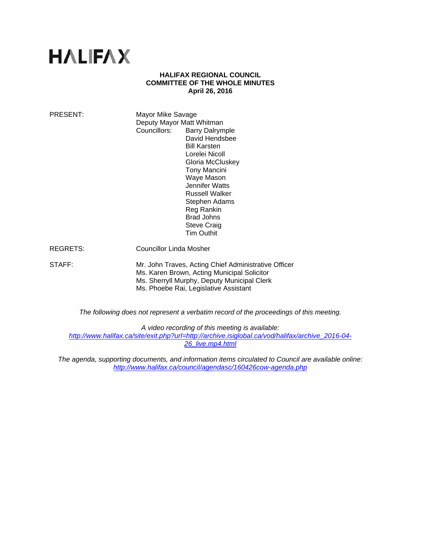# **HALIFAX**

#### **HALIFAX REGIONAL COUNCIL COMMITTEE OF THE WHOLE MINUTES April 26, 2016**

| PRESENT:        | Mayor Mike Savage<br>Deputy Mayor Matt Whitman<br>Councillors:<br><b>Barry Dalrymple</b><br>David Hendsbee<br><b>Bill Karsten</b><br>Lorelei Nicoll<br>Gloria McCluskey<br><b>Tony Mancini</b><br>Waye Mason<br>Jennifer Watts<br><b>Russell Walker</b><br>Stephen Adams<br>Reg Rankin<br><b>Brad Johns</b><br><b>Steve Craig</b><br>Tim Outhit |
|-----------------|-------------------------------------------------------------------------------------------------------------------------------------------------------------------------------------------------------------------------------------------------------------------------------------------------------------------------------------------------|
| <b>REGRETS:</b> | Councillor Linda Mosher                                                                                                                                                                                                                                                                                                                         |
| STAFF:          | Mr. John Traves, Acting Chief Administrative Officer<br>Ms. Karen Brown, Acting Municipal Solicitor<br>Ms. Sherryll Murphy, Deputy Municipal Clerk<br>Ms. Phoebe Rai, Legislative Assistant                                                                                                                                                     |

*The following does not represent a verbatim record of the proceedings of this meeting.* 

*A video recording of this meeting is available:* 

*http://www.halifax.ca/site/exit.php?url=http://archive.isiglobal.ca/vod/halifax/archive\_2016-04- 26\_live.mp4.html*

*The agenda, supporting documents, and information items circulated to Council are available online: http://www.halifax.ca/council/agendasc/160426cow-agenda.php*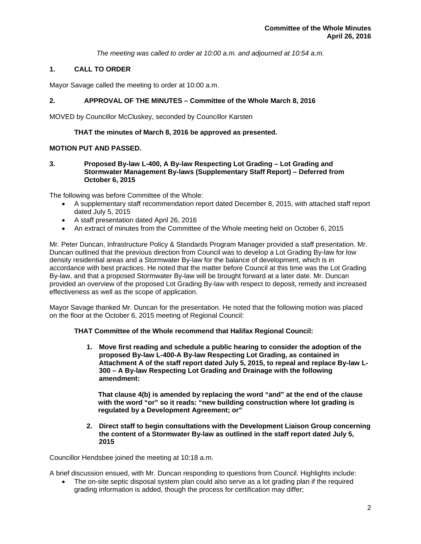*The meeting was called to order at 10:00 a.m. and adjourned at 10:54 a.m.*

#### **1. CALL TO ORDER**

Mayor Savage called the meeting to order at 10:00 a.m.

#### **2. APPROVAL OF THE MINUTES – Committee of the Whole March 8, 2016**

MOVED by Councillor McCluskey, seconded by Councillor Karsten

#### **THAT the minutes of March 8, 2016 be approved as presented.**

#### **MOTION PUT AND PASSED.**

**3. Proposed By-law L-400, A By-law Respecting Lot Grading – Lot Grading and Stormwater Management By-laws (Supplementary Staff Report) – Deferred from October 6, 2015** 

The following was before Committee of the Whole:

- A supplementary staff recommendation report dated December 8, 2015, with attached staff report dated July 5, 2015
- A staff presentation dated April 26, 2016
- An extract of minutes from the Committee of the Whole meeting held on October 6, 2015

Mr. Peter Duncan, Infrastructure Policy & Standards Program Manager provided a staff presentation. Mr. Duncan outlined that the previous direction from Council was to develop a Lot Grading By-law for low density residential areas and a Stormwater By-law for the balance of development, which is in accordance with best practices. He noted that the matter before Council at this time was the Lot Grading By-law, and that a proposed Stormwater By-law will be brought forward at a later date. Mr. Duncan provided an overview of the proposed Lot Grading By-law with respect to deposit, remedy and increased effectiveness as well as the scope of application.

Mayor Savage thanked Mr. Duncan for the presentation. He noted that the following motion was placed on the floor at the October 6, 2015 meeting of Regional Council:

#### **THAT Committee of the Whole recommend that Halifax Regional Council:**

**1. Move first reading and schedule a public hearing to consider the adoption of the proposed By-law L-400-A By-law Respecting Lot Grading, as contained in Attachment A of the staff report dated July 5, 2015, to repeal and replace By-law L-300 – A By-law Respecting Lot Grading and Drainage with the following amendment:** 

 **That clause 4(b) is amended by replacing the word "and" at the end of the clause with the word "or" so it reads: "new building construction where lot grading is regulated by a Development Agreement; or"** 

**2. Direct staff to begin consultations with the Development Liaison Group concerning the content of a Stormwater By-law as outlined in the staff report dated July 5, 2015** 

Councillor Hendsbee joined the meeting at 10:18 a.m.

A brief discussion ensued, with Mr. Duncan responding to questions from Council. Highlights include:

 The on-site septic disposal system plan could also serve as a lot grading plan if the required grading information is added, though the process for certification may differ;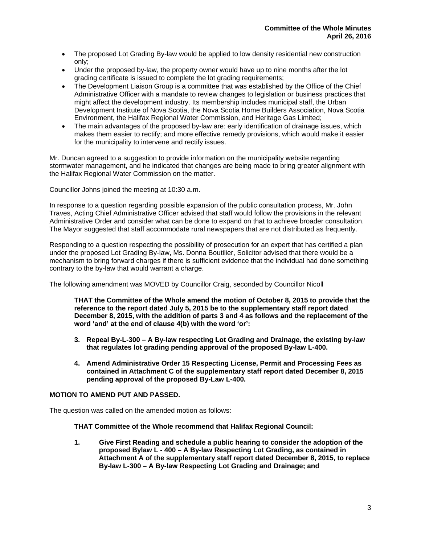- The proposed Lot Grading By-law would be applied to low density residential new construction only;
- Under the proposed by-law, the property owner would have up to nine months after the lot grading certificate is issued to complete the lot grading requirements;
- The Development Liaison Group is a committee that was established by the Office of the Chief Administrative Officer with a mandate to review changes to legislation or business practices that might affect the development industry. Its membership includes municipal staff, the Urban Development Institute of Nova Scotia, the Nova Scotia Home Builders Association, Nova Scotia Environment, the Halifax Regional Water Commission, and Heritage Gas Limited;
- The main advantages of the proposed by-law are: early identification of drainage issues, which makes them easier to rectify; and more effective remedy provisions, which would make it easier for the municipality to intervene and rectify issues.

Mr. Duncan agreed to a suggestion to provide information on the municipality website regarding stormwater management, and he indicated that changes are being made to bring greater alignment with the Halifax Regional Water Commission on the matter.

Councillor Johns joined the meeting at 10:30 a.m.

In response to a question regarding possible expansion of the public consultation process, Mr. John Traves, Acting Chief Administrative Officer advised that staff would follow the provisions in the relevant Administrative Order and consider what can be done to expand on that to achieve broader consultation. The Mayor suggested that staff accommodate rural newspapers that are not distributed as frequently.

Responding to a question respecting the possibility of prosecution for an expert that has certified a plan under the proposed Lot Grading By-law, Ms. Donna Boutilier, Solicitor advised that there would be a mechanism to bring forward charges if there is sufficient evidence that the individual had done something contrary to the by-law that would warrant a charge.

The following amendment was MOVED by Councillor Craig, seconded by Councillor Nicoll

**THAT the Committee of the Whole amend the motion of October 8, 2015 to provide that the reference to the report dated July 5, 2015 be to the supplementary staff report dated December 8, 2015, with the addition of parts 3 and 4 as follows and the replacement of the word 'and' at the end of clause 4(b) with the word 'or':** 

- **3. Repeal By-L-300 A By-law respecting Lot Grading and Drainage, the existing by-law that regulates lot grading pending approval of the proposed By-law L-400.**
- **4. Amend Administrative Order 15 Respecting License, Permit and Processing Fees as contained in Attachment C of the supplementary staff report dated December 8, 2015 pending approval of the proposed By-Law L-400***.*

## **MOTION TO AMEND PUT AND PASSED.**

The question was called on the amended motion as follows:

**THAT Committee of the Whole recommend that Halifax Regional Council:** 

**1. Give First Reading and schedule a public hearing to consider the adoption of the proposed Bylaw L - 400 – A By-law Respecting Lot Grading, as contained in Attachment A of the supplementary staff report dated December 8, 2015, to replace By-law L-300 – A By-law Respecting Lot Grading and Drainage; and**